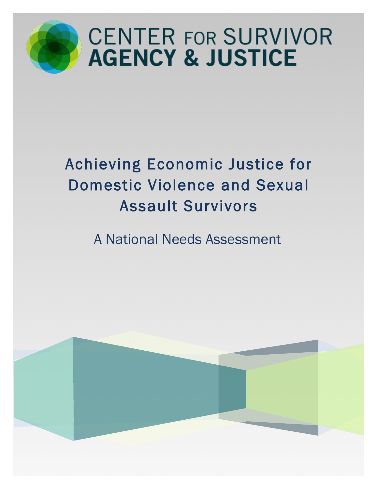

# **CENTER FOR SURVIVOR AGENCY & JUSTICE**

# Achieving Economic Justice for Domestic Violence and Sexual Assault Survivors

A National Needs Assessment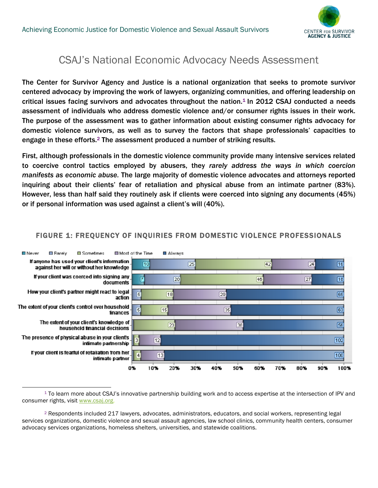

### CSAJ's National Economic Advocacy Needs Assessment

The Center for Survivor Agency and Justice is a national organization that seeks to promote survivor centered advocacy by improving the work of lawyers, organizing communities, and offering leadership on critical issues facing survivors and advocates throughout the nation.<sup>1</sup> In 2012 CSAJ conducted a needs assessment of individuals who address domestic violence and/or consumer rights issues in their work. The purpose of the assessment was to gather information about existing consumer rights advocacy for domestic violence survivors, as well as to survey the factors that shape professionals' capacities to engage in these efforts.2 The assessment produced a number of striking results.

First, although professionals in the domestic violence community provide many intensive services related to coercive control tactics employed by abusers, they *rarely address the ways in which coercion manifests as economic abuse.* The large majority of domestic violence advocates and attorneys reported inquiring about their clients' fear of retaliation and physical abuse from an intimate partner (83%). However, less than half said they routinely ask if clients were coerced into signing any documents (45%) or if personal information was used against a client's will (40%).



#### FIGURE 1: FREQUENCY OF INQUIRIES FROM DOMESTIC VIOLENCE PROFESSIONALS

 1 To learn more about CSAJ's innovative partnership building work and to access expertise at the intersection of IPV and consumer rights, visit www.csaj.org.

<sup>2</sup> Respondents included 217 lawyers, advocates, administrators, educators, and social workers, representing legal services organizations, domestic violence and sexual assault agencies, law school clinics, community health centers, consumer advocacy services organizations, homeless shelters, universities, and statewide coalitions.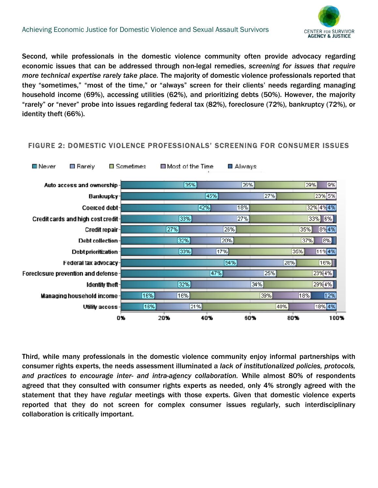

Second, while professionals in the domestic violence community often provide advocacy regarding economic issues that can be addressed through non-legal remedies, *screening for issues that require more technical expertise rarely take place.* The majority of domestic violence professionals reported that they "sometimes," "most of the time," or "always" screen for their clients' needs regarding managing household income (69%), accessing utilities (62%), and prioritizing debts (50%). However, the majority "rarely" or "never" probe into issues regarding federal tax (82%), foreclosure (72%), bankruptcy (72%), or identity theft (66%).

#### FIGURE 2: DOMESTIC VIOLENCE PROFESSIONALS' SCREENING FOR CONSUMER ISSUES



Third, while many professionals in the domestic violence community enjoy informal partnerships with consumer rights experts, the needs assessment illuminated a *lack of institutionalized policies, protocols, and practices to encourage inter- and intra-agency collaboration.* While almost 80% of respondents agreed that they consulted with consumer rights experts as needed, only 4% strongly agreed with the statement that they have *regular* meetings with those experts. Given that domestic violence experts reported that they do not screen for complex consumer issues regularly, such interdisciplinary collaboration is critically important.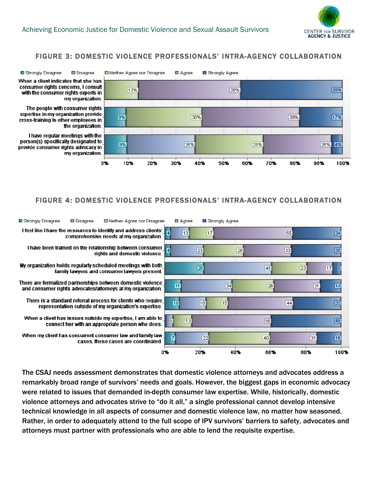

#### FIGURE 3: DOMESTIC VIOLENCE PROFESSIONALS' INTRA-AGENCY COLLABORATION



#### FIGURE 4: DOMESTIC VIOLENCE PROFESSIONALS' INTRA-AGENCY COLLABORATION



The CSAJ needs assessment demonstrates that domestic violence attorneys and advocates address a remarkably broad range of survivors' needs and goals. However, the biggest gaps in economic advocacy were related to issues that demanded in-depth consumer law expertise. While, historically, domestic violence attorneys and advocates strive to "do it all," a single professional cannot develop intensive technical knowledge in all aspects of consumer and domestic violence law, no matter how seasoned. Rather, in order to adequately attend to the full scope of IPV survivors' barriers to safety, advocates and attorneys must partner with professionals who are able to lend the requisite expertise.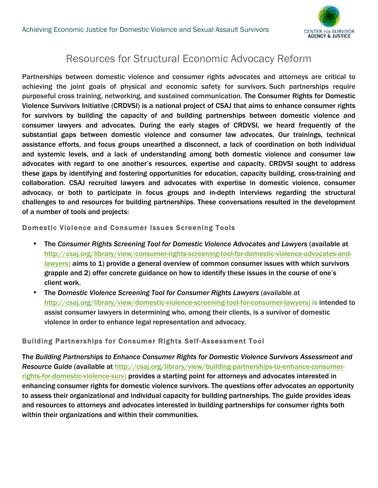

## Resources for Structural Economic Advocacy Reform

Partnerships between domestic violence and consumer rights advocates and attorneys are critical to achieving the joint goals of physical *and* economic safety for survivors. Such partnerships require purposeful cross training, networking, and sustained communication. The Consumer Rights for Domestic Violence Survivors Initiative (CRDVSI) is a national project of CSAJ that aims to enhance consumer rights for survivors by building the capacity of and building partnerships between domestic violence and consumer lawyers and advocates. During the early stages of CRDVSI, we heard frequently of the substantial gaps between domestic violence and consumer law advocates. Our trainings, technical assistance efforts, and focus groups unearthed a disconnect, a lack of coordination on both individual and systemic levels, and a lack of understanding among both domestic violence and consumer law advocates with regard to one another's resources, expertise and capacity. CRDVSI sought to address these gaps by identifying and fostering opportunities for education, capacity building, cross-training and collaboration. CSAJ recruited lawyers and advocates with expertise in domestic violence, consumer advocacy, or both to participate in focus groups and in-depth interviews regarding the structural challenges to and resources for building partnerships. These conversations resulted in the development of a number of tools and projects:

Domestic Violence and Consumer Issues Screening Tools

- The *Consumer Rights Screening Tool for Domestic Violence Advocates and Lawyers* (available at http://csaj.org/library/view/consumer-rights-screening-tool-for-domestic-violence-advocates-andlawyers) aims to 1) provide a general overview of common consumer issues with which survivors grapple and 2) offer concrete guidance on how to identify these issues in the course of one's client work.
- The *Domestic Violence Screening Tool for Consumer Rights Lawyers* (available at http://csaj.org/library/view/domestic-violence-screening-tool-for-consumer-lawyers) is intended to assist consumer lawyers in determining who, among their clients, is a survivor of domestic violence in order to enhance legal representation and advocacy.

#### Building Partnerships for Consumer Rights Self-Assessment Tool

The *Building Partnerships to Enhance Consumer Rights for Domestic Violence Survivors Assessment and Resource Guide* (available at http://csaj.org/library/view/building-partnerships-to-enhance-consumerrights-for-domestic-violence-surv) provides a starting point for attorneys and advocates interested in enhancing consumer rights for domestic violence survivors. The questions offer advocates an opportunity to assess their organizational and individual capacity for building partnerships. The guide provides ideas and resources to attorneys and advocates interested in building partnerships for consumer rights both within their organizations and within their communities.